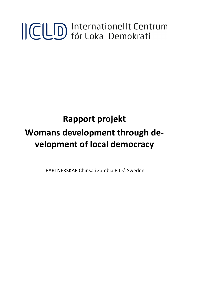# ICLD Internationellt Centrum

# **Rapport projekt Womans development through development of local democracy**

PARTNERSKAP Chinsali Zambia Piteå Sweden

\_\_\_\_\_\_\_\_\_\_\_\_\_\_\_\_\_\_\_\_\_\_\_\_\_\_\_\_\_\_\_\_\_\_\_\_\_\_\_\_\_\_\_\_\_\_\_\_\_\_\_\_\_\_\_\_\_\_\_\_\_\_\_\_\_\_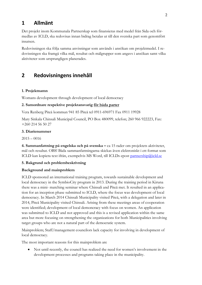### **1 Allmänt**

Det projekt inom Kommunala Partnerskap som finansieras med medel från Sida och förmedlas av ICLD, ska redovisas innan bidrag betalas ut till den svenska part som genomfört insatsen.

Redovisningen ska följa samma anvisningar som används i ansökan om projektmedel. I redovisningen ska framgå vilka mål, resultat och målgrupper som angavs i ansökan samt vilka aktiviteter som ursprungligen planerades.

## **2 Redovisningens innehåll**

#### **1. Projektnamn**

Womans development through development of local democracy

#### **2. Samordnare respektive projektansvarig för båda parter**

Vera Renberg Piteå kommun 941 85 Piteå tel 0911-696971 Fax 0911 19928

Mary Sinkala Chinsali Municipal Council, PO Box 480099, telefon; 260 966 922223, Fax: +260 214 56 50 27

#### **3. Diarienummer**

 $2015 - 0016$ 

**4. Sammanfattning på engelska och på svenska –** ca 15 rader om projektets aktiviteter, mål och resultat. OBS! Båda sammanfattningarna skickas även elektroniskt i ett format som ICLD kan kopiera text ifrån, exempelvis MS Word, till ICLDs epost [partnership@icld.se](mailto:partnership@icld.se)

#### **5. Bakgrund och problembeskrivning**

#### **Background and mainproblem**

ICLD sponsored an international training program, towards sustainable development and local democracy in the SymbioCity program in 2013. During the training period in Kiruna there was a mini- matching seminar where Chinsali and Piteå met. It resulted in an application for an inception phase submitted to ICLD, where the focus was development of local democracy. In March 2014 Chinsali Municipality visited Piteå, with a delegation and later in 2014, Piteå Municipality visited Chinsali. Arising from these meetings areas of cooperation were identified; development of local demoncracy with focus on women. An application was submitted to ICLD and not approved and this is a revised application within the same area but more focusing on strengthening the organizations for both Municipalities involving target groups who are not a natural part of the democratic system.

Mainproblem; Staff/management councilors lack capacity for involving in development of local democracy.

The most important reasons for this mainproblem are

• Not until recently, the council has realized the need for women's involvement in the development processes and programs taking place in the municipality.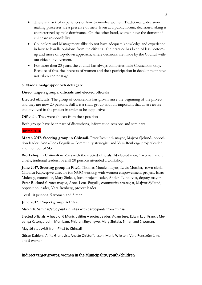- There is a lack of experiences of how to involve women. Traditionally, decisionmaking processes are a preserve of men. Even at a public forum, decision-making is characterized by male dominance. On the other hand, women have the domestic/ childcare responsibility.
- Councilors and Management alike do not have adequate knowledge and experience in how to handle opinions from the citizens. The practice has been of less bottomup and more of top-down approach, where decisions are made by the Council without citizen involvement.
- For more then 20 years, the council has always comprises male Councillors only. Because of this, the interests of women and their participation in development have not taken center stage.

#### **6. Nådda målgrupper och deltagare**

#### **Direct targets groups; officials and elected officials**

**Elected officials.** The group of counsellors has grown sinse the beginning of the project and they are now 20 persons. Still it is a small group and it is important that all are aware and involved in the project in order to be supportive.

**Officials.** They were chosen from their position

Both groups have been part of discussions, information sessions and seminars.

#### Hösten 2016

**Marsh 2017. Steering group in Chinsali.** Peter Roslund- mayor, Majvor Sjölund- opposition leader, Anna-Lena Pogulis – Community strategist, and Vera Renberg- projectleader and member of SG

**Workshop in Chinsali** in Mars with the elected officials, 14 elected men, 1 woman and 5 chiefs, tradional leaders, overall 20 persons attended a workshop.

**June 2017. Steering group in Piteå.** Thomas Mutale, mayor, Levis Mumba, town clerk, Chilufya Kapwepwe director for NGO working with women empowerment project, Isaac Mulenga, councillor, Mary Sinkala, local project leader, Anders Lundkvist, deputy mayor, Peter Roslund former mayor, Anna-Lena Pogulis, community strategist, Majvor Sjölund, opposition leader, Vera Renberg, project leader.

Total 10 persons. 5 woman and 5 men.

#### **June 2017. Project group in Piteå.**

March 16 Seminar/studyvisits in Piteå with participants from Chinsali

Elected officials, + head of 6 Municipalities + projectleader, Adam Jere, Edwin Luo, Francis Mubanga Katongo, John Mumbam, Phidrah Sinyangwe, Mary Sinkala, 5 men and 1 woman.

May 16 studyvisit from Piteå to Chinsali

Göran Dahlén, Anita Granqvist, Anette Chistoffersson, Maria Wiksten, Vera Renström 1 man and 5 women

#### Indirect target groups; women in the Municipality, youth/children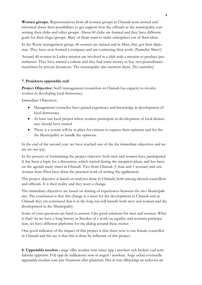**Women groups.** Representatives from all women groups in Chinsali were invited and informed about their possibilities to get support fron the officials in the municipality conserning their clubs and other groups. About 60 clubs are formed and they have different goals for their clugs/groups. Mary of them want to make enterprices out of their ideas.

In the Waste management group, 40 women are trained and in Mars, they got their diplomas. They have now formed a company and are continuing theit work. (Namelist Mary?)

Around 40 women in Ludwa mission are involved in a club with a mission to produce peanutbutter. They have started a culture and they had some money to buy two peanutbutter maschines by private donations. The municipality also mentors them. (No namelist)

#### **7. Projektets uppnådda mål**

**Project Objective:** Staff/management/councilors in Chinsali has capacity to involve women in developing local democracy.

Immediate Objectives.

- Management/councilor have gained experience and knowledge in development of local democracy
- At least one local project where women participate in development of local democracy should have started
- There is a system will be in place for citizens to express their opinions and for the the Municipality to handle the opinions.

In the end of the second year, we have reached one of the the immediate objectives and we are on our way.

In the process of formulating the project objective both men and women have participated. It has been a topic for a discussion, which started during the inception phase and has been on the agenda many times in Chinsali. Two from Chinsali (1 man and 1 woman) and one woman from Piteå have done the practical work of writing the application.

The project objective is based on analyzes done in Chinsali, both among elected councillors and officials. It is their reality and they want a change.

The immediate objectives are based on sharing of experiences between the two Municipalities. The conclusion is that this change is a must for the development in Chinsali and in Chinsali they are convinced that it in the long run will benefit both men and woman and the development in the Municipality.

Some of your questions are hard to answer. Like good solutions for men and women. What is that? As we have a long history in Sweden of a work on equality and womans participation, we have different platforms for the dialog around these metter.

One good indicator of the impact of this project is that there now is one female councillor in Chinsali and the say is that this is done by influense of this project.

**8. Uppnådda resultat -** ange vilka resultat som sattes upp i ansökan och beskriv vad som faktiskt uppnåtts. Följ upp de indikatorer som ni angett i ansökan. Ange också eventuella uppnådda resultat som inte förutsetts eller planerats. Det är inte tillräckligt att redovisa att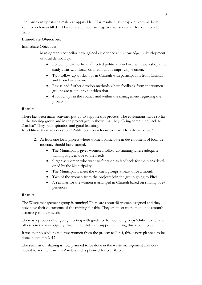"de i ansökan uppställda målen är uppnådda". Har resultatet av projektet kommit både kvinnor och män till del? Har resultatet medfört negativa konsekvenser för kvinnor eller män?

#### **Immediate Objectives:**

Immediate Objectives.

- 1. Management/councilor have gained experience and knowledge in development of local democracy.
	- Follow up with officials/ elected politicians in Piteå with workshops and study visits with focus on methods for improving women.
	- Two follow up workshops in Chinsali with participation from Chinsali and from Piteå in one.
	- Revise and further develop methods where feedback from the women groups are taken into consideration.
	- 4 follow ups in the council and within the management regarding the project

#### **Results**

There has been many activities put up to support this process. The evaluations made so far in the steering group and in the project group shows that they "Bring something back to Zambia" They get inspiration and good learning.

In addition, there is a question "Public opinion – focus woman. How do we know?"

- 2. At least one local project where women participate in development of local democracy should have started.
	- The Municipality gives women a follow up training where adequate training is given due to the needs
	- Organise women who want to function as feedback for the plans developed by the Municipality
	- The Municipality meet the women groups at least once a month
	- Two of the women from the projects join the group going to Piteå
	- A seminar for the women is arranged in Chinsali based on sharing of experiences

#### **Results**

The Waste management group is running! There are about 40 women assigned and they now have their documents of the training for this. They are meet more then once amonth according to their needs.

There is a process of ongoing meeting with guidance for women groups/clubs held by the officials in the municipality. Around 60 clubs are supported during this second year.

It wes not possible to take two women from the project to Piteå, this is now planned to be done in autumn 2017.

The seminar on sharing is now planned to be done in the waste management area connected to another town in Zambia and is planned for year three.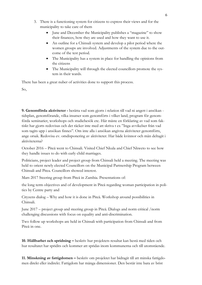- 3. There is a functioning system for citizens to express their views and for the municipality to take care of them
	- June and December the Municipality publishes a "magazine" to show their finances, how they are used and how they want to use it.
	- An outline for a Chinsali system and develop a pilot period where the women groups are involved. Adjustments of the system due to the outcome of the test period.
	- The Municipality has a system in place for handling the opinions from the citizens
	- The Municipality will through the elected councillors promote the system in their wards.

There has been a great nuber of activities done to support this process.

So,

**9. Genomförda aktiviteter -** berätta vad som gjorts i relation till vad ni angett i ansökan tidsplan, genomförande, vilka insatser som genomförts i vilket land, program för genomförda seminarier, workshops och studiebesök etc. Här måste en förklaring av vad som faktiskt har gjorts redovisas och det räcker inte med att skriva t ex "Inga avvikelser från vad som tagits upp i ansökan finnes". Om inte alla i ansökan angivna aktiviteter genomförts, ange orsak. Redovisa ev. omdisponering av aktiviteter. Har både kvinnor och män deltagit i aktiviteterna?

October 2016 – Piteå went to Chinsali. Visited Chief Nkula and Chief Nkweto to see how they handle issues to do with early child marriages.

Politicians, project leader and project group from Chinsali held a meeting. The meeting was held to orient newly elected Councillors on the Municipal Partnership Program between Chinsali and Pitea. Councillors showed interest.

Mars 2017 Steering group from Piteå in Zambia. Presentations of:

the long term objectives and of development in Piteå regarding woman participation in politics by Centre party and

Cityzens dialog – Why and how it is done in Piteå. Workshop around possibilities in Chinsali.

June 2017 – project group and steering group in Piteå. Dialogs and norm critical /norm challenging discussions with focus on equality and anti-discrimination.

Two follow up workshops are held in Chinsali with participation from Chinsali and from Piteå in one.

**10. Hållbarhet och spridning –** beskriv hur projektets resultat kan bestå med tiden och hur resultatet har spridits och kommer att spridas inom kommunerna och till utomstående.

**11. Minskning av fattigdomen –** beskriv om projektet har bidragit till att minska fattigdomen direkt eller indirekt. Fattigdom har många dimensioner. Den består inte bara av brist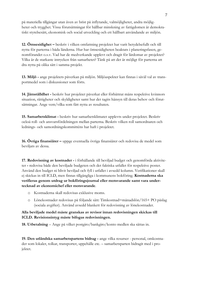på materiella tillgångar utan även av brist på inflytande, valmöjligheter, andra möjligheter och trygghet. Vissa förutsättningar för hållbar minskning av fattigdomen är demokratiskt styrelsesätt, ekonomisk och social utveckling och ett hållbart användande av miljön.

**12. Ömsesidighet –** beskriv i vilken omfattning projektet har varit betydelsefullt och till nytta för parterna i båda länderna. Hur har ömsesidigheten beaktats i planeringsfasen, genomförandet o.s.v. Vad har de medverkande upplevt och dragit för lärdomar av projektet? Vilka är de starkaste intrycken från samarbetet? Tänk på att det är möjligt för parterna att dra nytta på olika sätt i samma projekt.

**13. Miljö -** ange projektets påverkan på miljön. Miljöaspekter kan finnas i såväl val av transportmedel som i diskussioner som förts.

**14. Jämställdhet -** beskriv hur projektet påverkat eller förbättrat mäns respektive kvinnors situation, rättigheter och skyldigheter samt hur det tagits hänsyn till deras behov och förutsättningar. Ange vem/vilka som fått nytta av resultaten.

**15. Samarbetsklimat -** beskriv hur samarbetsklimatet upplevts under projektet. Beskriv också roll- och ansvarsfördelningen mellan parterna. Beskriv vilken roll samordnaren och lednings- och samordningskommitténs har haft i projektet.

**16. Övriga finansiärer –** uppge eventuella övriga finansiärer och redovisa de medel som beviljats av dessa.

**17. Redovisning av kostnader -** i förhållande till beviljad budget och genomförda aktiviteter **-** redovisa både den beviljade budgeten och det faktiska utfallet för respektive poster. Använd den budget ni blivit beviljad och fyll i utfallet i avsedd kolumn. Verifikationer skall ej skickas in till ICLD, men finnas tillgängliga i kommunens bokföring. **Kostnaderna ska verifieras genom utdrag ur bokföringsjournal eller motsvarande samt vara undertecknad av ekonomichef eller motsvarande**.

- o Kostnaderna skall redovisas exklusive moms.
- o Lönekostnader redovisas på följande sätt: Timkostnad=månadslön/165+ PO påslag (sociala avgifter). Använd avsedd blankett för redovisning av lönekostnader.

#### **Alla beviljade medel måste granskas av revisor innan redovisningen skickas till ICLD. Revisionsintyg måste bifogas redovisningen.**

**18. Utbetalning** – Ange på vilket postgiro/bankgiro/konto medlen ska sättas in.

**19. Den utländska samarbetspartens bidrag -** ange vilka resurser - personal, omkostnader som lokaler, tolkar, transporter, uppehälle etc. – samarbetsparten bidragit med i projektet.